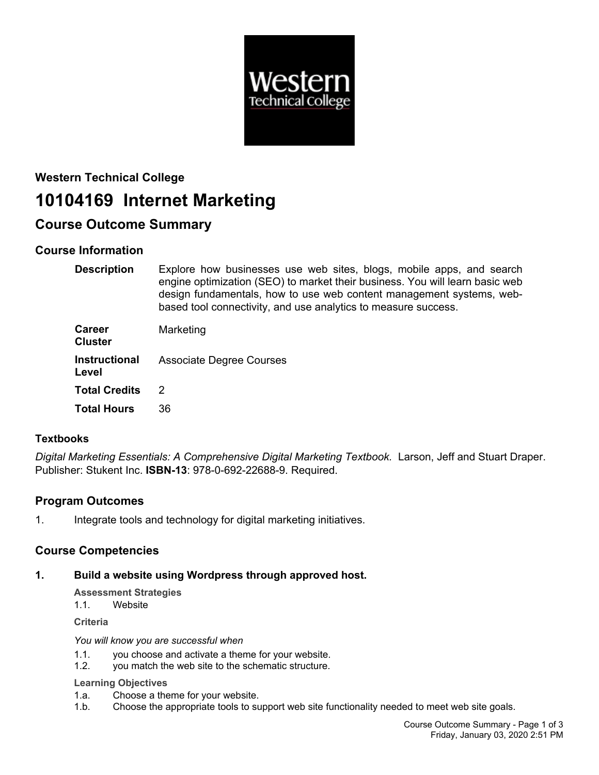

# **Western Technical College**

## **10104169 Internet Marketing**

## **Course Outcome Summary**

## **Course Information**

| <b>Description</b> | Explore how businesses use web sites, blogs, mobile apps, and search         |
|--------------------|------------------------------------------------------------------------------|
|                    | engine optimization (SEO) to market their business. You will learn basic web |
|                    | design fundamentals, how to use web content management systems, web-         |
|                    | based tool connectivity, and use analytics to measure success.               |

| <b>Career</b><br><b>Cluster</b> | Marketing                       |
|---------------------------------|---------------------------------|
| Instructional<br>Level          | <b>Associate Degree Courses</b> |
| <b>Total Credits</b>            | $\mathcal{P}$                   |
| <b>Total Hours</b>              | 36                              |

#### **Textbooks**

*Digital Marketing Essentials: A Comprehensive Digital Marketing Textbook.* Larson, Jeff and Stuart Draper. Publisher: Stukent Inc. **ISBN-13**: 978-0-692-22688-9. Required.

## **Program Outcomes**

1. Integrate tools and technology for digital marketing initiatives.

## **Course Competencies**

#### **1. Build a website using Wordpress through approved host.**

**Assessment Strategies**

1.1. Website

**Criteria**

#### *You will know you are successful when*

- 1.1. you choose and activate a theme for your website.
- 1.2. you match the web site to the schematic structure.

#### **Learning Objectives**

- 1.a. Choose a theme for your website.
- 1.b. Choose the appropriate tools to support web site functionality needed to meet web site goals.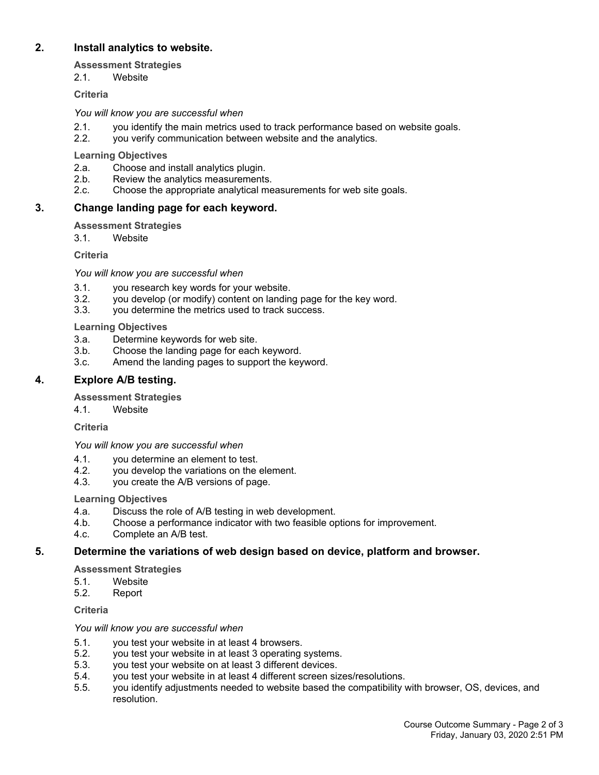#### **2. Install analytics to website.**

#### **Assessment Strategies**

2.1. Website

#### **Criteria**

*You will know you are successful when*

- 2.1. you identify the main metrics used to track performance based on website goals.
- 2.2. you verify communication between website and the analytics.

#### **Learning Objectives**

- 2.a. Choose and install analytics plugin.
- 2.b. Review the analytics measurements.<br>2.c. Choose the appropriate analytical me
- 2.c. Choose the appropriate analytical measurements for web site goals.

#### **3. Change landing page for each keyword.**

#### **Assessment Strategies**

3.1. Website

**Criteria**

*You will know you are successful when*

- 
- 3.1. you research key words for your website. you develop (or modify) content on landing page for the key word.
- 3.3. you determine the metrics used to track success.

#### **Learning Objectives**

- 3.a. Determine keywords for web site.
- 3.b. Choose the landing page for each keyword.
- 3.c. Amend the landing pages to support the keyword.

#### **4. Explore A/B testing.**

**Assessment Strategies**

4.1. Website

**Criteria**

*You will know you are successful when*

- 4.1. you determine an element to test.
- 4.2. you develop the variations on the element.
- 4.3. you create the A/B versions of page.

#### **Learning Objectives**

- 4.a. Discuss the role of A/B testing in web development.
- 4.b. Choose a performance indicator with two feasible options for improvement.
- 4.c. Complete an A/B test.

#### **5. Determine the variations of web design based on device, platform and browser.**

**Assessment Strategies**

- 5.1. Website
- 5.2. Report

**Criteria**

*You will know you are successful when*

- 5.1. you test your website in at least 4 browsers.
- 5.2. you test your website in at least 3 operating systems.
- 5.3. you test your website on at least 3 different devices.
- 5.4. you test your website in at least 4 different screen sizes/resolutions.
- 5.5. you identify adjustments needed to website based the compatibility with browser, OS, devices, and resolution.